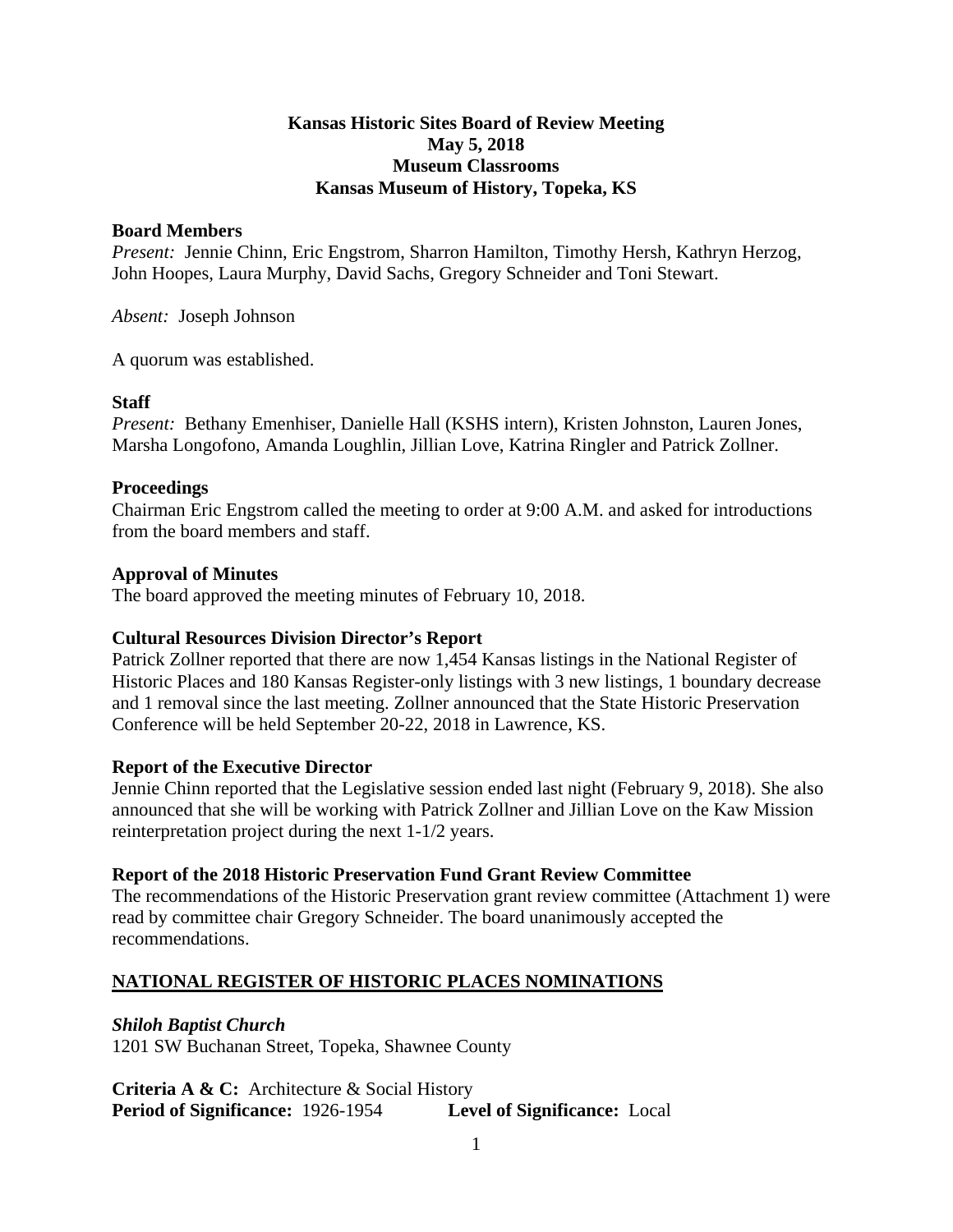### **Kansas Historic Sites Board of Review Meeting May 5, 2018 Museum Classrooms Kansas Museum of History, Topeka, KS**

#### **Board Members**

*Present:* Jennie Chinn, Eric Engstrom, Sharron Hamilton, Timothy Hersh, Kathryn Herzog, John Hoopes, Laura Murphy, David Sachs, Gregory Schneider and Toni Stewart.

*Absent:* Joseph Johnson

A quorum was established.

# **Staff**

*Present:* Bethany Emenhiser, Danielle Hall (KSHS intern), Kristen Johnston, Lauren Jones, Marsha Longofono, Amanda Loughlin, Jillian Love, Katrina Ringler and Patrick Zollner.

## **Proceedings**

Chairman Eric Engstrom called the meeting to order at 9:00 A.M. and asked for introductions from the board members and staff.

## **Approval of Minutes**

The board approved the meeting minutes of February 10, 2018.

# **Cultural Resources Division Director's Report**

Patrick Zollner reported that there are now 1,454 Kansas listings in the National Register of Historic Places and 180 Kansas Register-only listings with 3 new listings, 1 boundary decrease and 1 removal since the last meeting. Zollner announced that the State Historic Preservation Conference will be held September 20-22, 2018 in Lawrence, KS.

#### **Report of the Executive Director**

Jennie Chinn reported that the Legislative session ended last night (February 9, 2018). She also announced that she will be working with Patrick Zollner and Jillian Love on the Kaw Mission reinterpretation project during the next 1-1/2 years.

# **Report of the 2018 Historic Preservation Fund Grant Review Committee**

The recommendations of the Historic Preservation grant review committee (Attachment 1) were read by committee chair Gregory Schneider. The board unanimously accepted the recommendations.

# **NATIONAL REGISTER OF HISTORIC PLACES NOMINATIONS**

# *Shiloh Baptist Church*

1201 SW Buchanan Street, Topeka, Shawnee County

**Criteria A & C:** Architecture & Social History **Period of Significance:** 1926-1954 **Level of Significance:** Local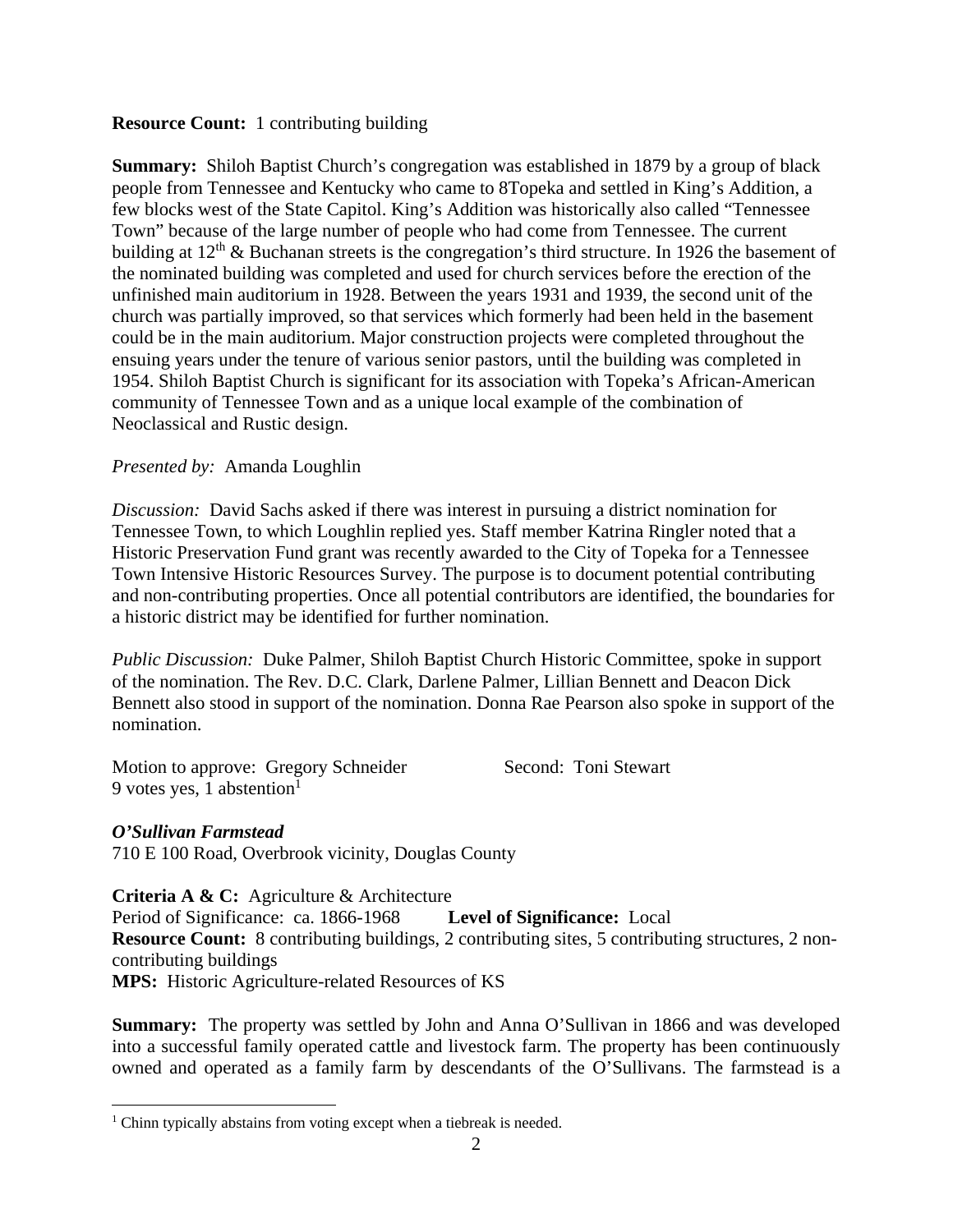### **Resource Count:** 1 contributing building

**Summary:** Shiloh Baptist Church's congregation was established in 1879 by a group of black people from Tennessee and Kentucky who came to 8Topeka and settled in King's Addition, a few blocks west of the State Capitol. King's Addition was historically also called "Tennessee Town" because of the large number of people who had come from Tennessee. The current building at  $12<sup>th</sup>$  & Buchanan streets is the congregation's third structure. In 1926 the basement of the nominated building was completed and used for church services before the erection of the unfinished main auditorium in 1928. Between the years 1931 and 1939, the second unit of the church was partially improved, so that services which formerly had been held in the basement could be in the main auditorium. Major construction projects were completed throughout the ensuing years under the tenure of various senior pastors, until the building was completed in 1954. Shiloh Baptist Church is significant for its association with Topeka's African-American community of Tennessee Town and as a unique local example of the combination of Neoclassical and Rustic design.

## *Presented by:* Amanda Loughlin

*Discussion:* David Sachs asked if there was interest in pursuing a district nomination for Tennessee Town, to which Loughlin replied yes. Staff member Katrina Ringler noted that a Historic Preservation Fund grant was recently awarded to the City of Topeka for a Tennessee Town Intensive Historic Resources Survey. The purpose is to document potential contributing and non-contributing properties. Once all potential contributors are identified, the boundaries for a historic district may be identified for further nomination.

*Public Discussion:* Duke Palmer, Shiloh Baptist Church Historic Committee, spoke in support of the nomination. The Rev. D.C. Clark, Darlene Palmer, Lillian Bennett and Deacon Dick Bennett also stood in support of the nomination. Donna Rae Pearson also spoke in support of the nomination.

Motion to approve: Gregory Schneider Second: Toni Stewart 9 votes yes, 1 abstention $\overline{1}$ 

# *O'Sullivan Farmstead*

710 E 100 Road, Overbrook vicinity, Douglas County

#### **Criteria A & C:** Agriculture & Architecture

Period of Significance: ca. 1866-1968 **Level of Significance:** Local **Resource Count:** 8 contributing buildings, 2 contributing sites, 5 contributing structures, 2 noncontributing buildings

**MPS:** Historic Agriculture-related Resources of KS

**Summary:** The property was settled by John and Anna O'Sullivan in 1866 and was developed into a successful family operated cattle and livestock farm. The property has been continuously owned and operated as a family farm by descendants of the O'Sullivans. The farmstead is a

 1 Chinn typically abstains from voting except when a tiebreak is needed.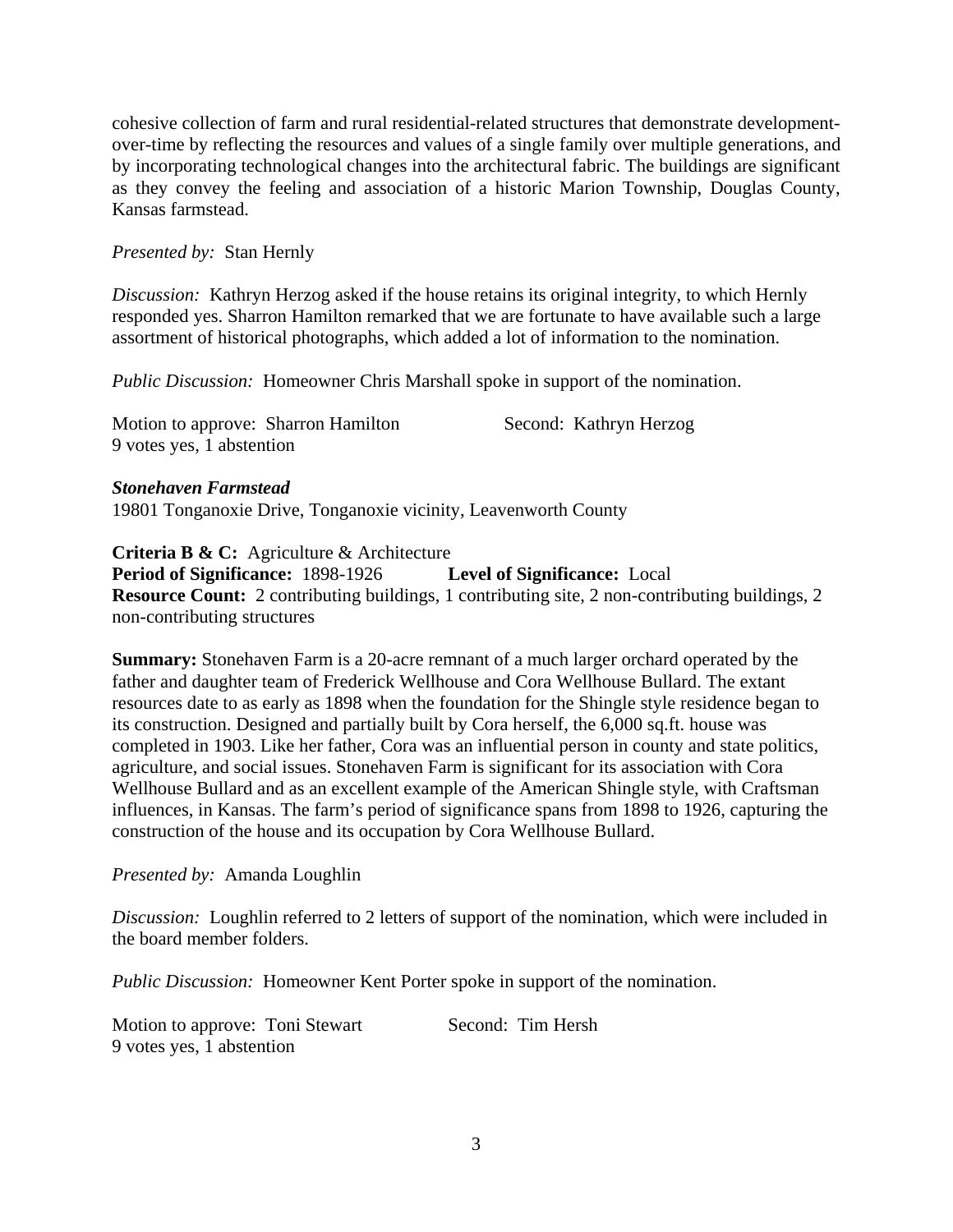cohesive collection of farm and rural residential-related structures that demonstrate developmentover-time by reflecting the resources and values of a single family over multiple generations, and by incorporating technological changes into the architectural fabric. The buildings are significant as they convey the feeling and association of a historic Marion Township, Douglas County, Kansas farmstead.

#### *Presented by:* Stan Hernly

*Discussion:* Kathryn Herzog asked if the house retains its original integrity, to which Hernly responded yes. Sharron Hamilton remarked that we are fortunate to have available such a large assortment of historical photographs, which added a lot of information to the nomination.

*Public Discussion:* Homeowner Chris Marshall spoke in support of the nomination.

| Motion to approve: Sharron Hamilton | Second: Kathryn Herzog |
|-------------------------------------|------------------------|
| 9 votes yes, 1 abstention           |                        |

#### *Stonehaven Farmstead*

19801 Tonganoxie Drive, Tonganoxie vicinity, Leavenworth County

**Criteria B & C:** Agriculture & Architecture

**Period of Significance:** 1898-1926 **Level of Significance:** Local **Resource Count:** 2 contributing buildings, 1 contributing site, 2 non-contributing buildings, 2 non-contributing structures

**Summary:** Stonehaven Farm is a 20-acre remnant of a much larger orchard operated by the father and daughter team of Frederick Wellhouse and Cora Wellhouse Bullard. The extant resources date to as early as 1898 when the foundation for the Shingle style residence began to its construction. Designed and partially built by Cora herself, the 6,000 sq.ft. house was completed in 1903. Like her father, Cora was an influential person in county and state politics, agriculture, and social issues. Stonehaven Farm is significant for its association with Cora Wellhouse Bullard and as an excellent example of the American Shingle style, with Craftsman influences, in Kansas. The farm's period of significance spans from 1898 to 1926, capturing the construction of the house and its occupation by Cora Wellhouse Bullard.

*Presented by:* Amanda Loughlin

*Discussion:* Loughlin referred to 2 letters of support of the nomination, which were included in the board member folders.

*Public Discussion:* Homeowner Kent Porter spoke in support of the nomination.

Motion to approve: Toni Stewart Second: Tim Hersh 9 votes yes, 1 abstention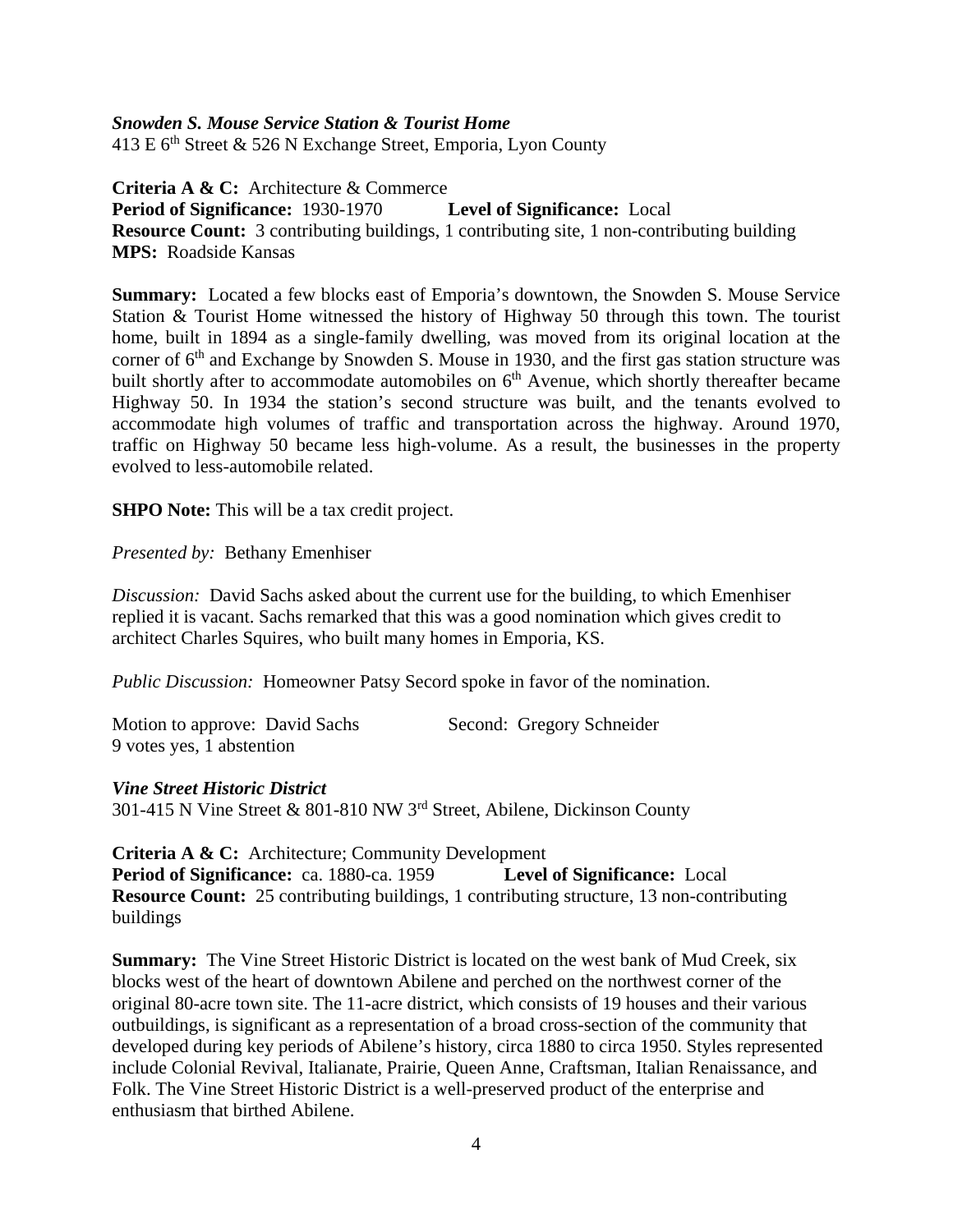#### *Snowden S. Mouse Service Station & Tourist Home*

413 E  $6<sup>th</sup>$  Street & 526 N Exchange Street, Emporia, Lyon County

**Criteria A & C:** Architecture & Commerce **Period of Significance:** 1930-1970 **Level of Significance:** Local **Resource Count:** 3 contributing buildings, 1 contributing site, 1 non-contributing building **MPS:** Roadside Kansas

**Summary:** Located a few blocks east of Emporia's downtown, the Snowden S. Mouse Service Station & Tourist Home witnessed the history of Highway 50 through this town. The tourist home, built in 1894 as a single-family dwelling, was moved from its original location at the corner of  $6<sup>th</sup>$  and Exchange by Snowden S. Mouse in 1930, and the first gas station structure was built shortly after to accommodate automobiles on 6<sup>th</sup> Avenue, which shortly thereafter became Highway 50. In 1934 the station's second structure was built, and the tenants evolved to accommodate high volumes of traffic and transportation across the highway. Around 1970, traffic on Highway 50 became less high-volume. As a result, the businesses in the property evolved to less-automobile related.

**SHPO Note:** This will be a tax credit project.

*Presented by:* Bethany Emenhiser

*Discussion:* David Sachs asked about the current use for the building, to which Emenhiser replied it is vacant. Sachs remarked that this was a good nomination which gives credit to architect Charles Squires, who built many homes in Emporia, KS.

*Public Discussion:* Homeowner Patsy Secord spoke in favor of the nomination.

| Motion to approve: David Sachs | Second: Gregory Schneider |
|--------------------------------|---------------------------|
| 9 votes yes, 1 abstention      |                           |

#### *Vine Street Historic District*

301-415 N Vine Street & 801-810 NW 3rd Street, Abilene, Dickinson County

**Criteria A & C:** Architecture; Community Development **Period of Significance:** ca. 1880-ca. 1959 **Level of Significance:** Local **Resource Count:** 25 contributing buildings, 1 contributing structure, 13 non-contributing buildings

**Summary:** The Vine Street Historic District is located on the west bank of Mud Creek, six blocks west of the heart of downtown Abilene and perched on the northwest corner of the original 80-acre town site. The 11-acre district, which consists of 19 houses and their various outbuildings, is significant as a representation of a broad cross-section of the community that developed during key periods of Abilene's history, circa 1880 to circa 1950. Styles represented include Colonial Revival, Italianate, Prairie, Queen Anne, Craftsman, Italian Renaissance, and Folk. The Vine Street Historic District is a well-preserved product of the enterprise and enthusiasm that birthed Abilene.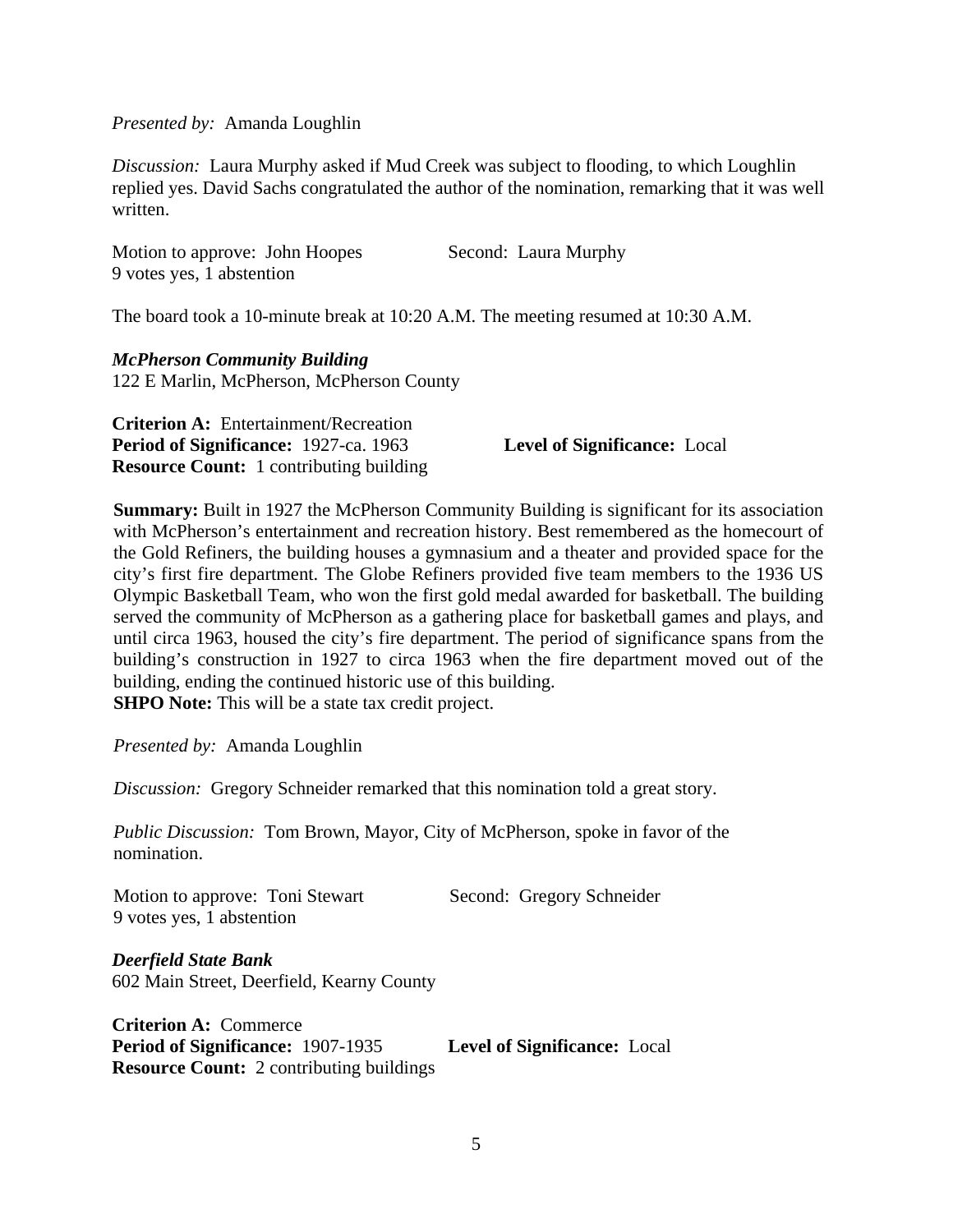*Presented by:* Amanda Loughlin

*Discussion:* Laura Murphy asked if Mud Creek was subject to flooding, to which Loughlin replied yes. David Sachs congratulated the author of the nomination, remarking that it was well written.

Motion to approve: John Hoopes Second: Laura Murphy 9 votes yes, 1 abstention

The board took a 10-minute break at 10:20 A.M. The meeting resumed at 10:30 A.M.

*McPherson Community Building*  122 E Marlin, McPherson, McPherson County

**Criterion A:** Entertainment/Recreation **Period of Significance:** 1927-ca. 1963 **Level of Significance:** Local **Resource Count:** 1 contributing building

**Summary:** Built in 1927 the McPherson Community Building is significant for its association with McPherson's entertainment and recreation history. Best remembered as the homecourt of the Gold Refiners, the building houses a gymnasium and a theater and provided space for the city's first fire department. The Globe Refiners provided five team members to the 1936 US Olympic Basketball Team, who won the first gold medal awarded for basketball. The building served the community of McPherson as a gathering place for basketball games and plays, and until circa 1963, housed the city's fire department. The period of significance spans from the building's construction in 1927 to circa 1963 when the fire department moved out of the building, ending the continued historic use of this building. **SHPO Note:** This will be a state tax credit project.

*Presented by:* Amanda Loughlin

*Discussion:* Gregory Schneider remarked that this nomination told a great story.

*Public Discussion:* Tom Brown, Mayor, City of McPherson, spoke in favor of the nomination.

Motion to approve: Toni Stewart Second: Gregory Schneider 9 votes yes, 1 abstention

*Deerfield State Bank*  602 Main Street, Deerfield, Kearny County

**Criterion A:** Commerce **Period of Significance:** 1907-1935 **Level of Significance:** Local **Resource Count:** 2 contributing buildings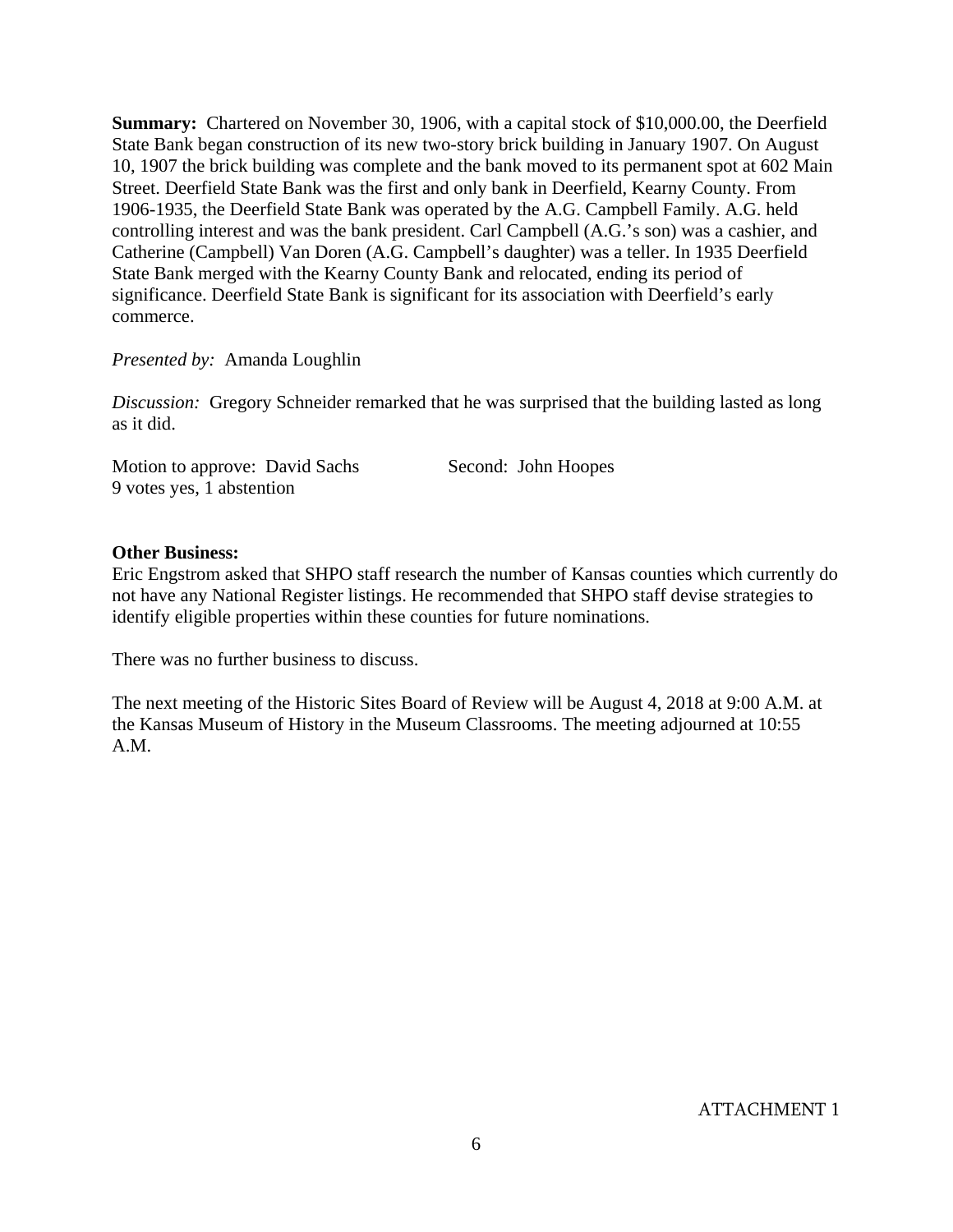**Summary:** Chartered on November 30, 1906, with a capital stock of \$10,000.00, the Deerfield State Bank began construction of its new two-story brick building in January 1907. On August 10, 1907 the brick building was complete and the bank moved to its permanent spot at 602 Main Street. Deerfield State Bank was the first and only bank in Deerfield, Kearny County. From 1906-1935, the Deerfield State Bank was operated by the A.G. Campbell Family. A.G. held controlling interest and was the bank president. Carl Campbell (A.G.'s son) was a cashier, and Catherine (Campbell) Van Doren (A.G. Campbell's daughter) was a teller. In 1935 Deerfield State Bank merged with the Kearny County Bank and relocated, ending its period of significance. Deerfield State Bank is significant for its association with Deerfield's early commerce.

#### *Presented by:* Amanda Loughlin

*Discussion:* Gregory Schneider remarked that he was surprised that the building lasted as long as it did.

Motion to approve: David Sachs Second: John Hoopes 9 votes yes, 1 abstention

#### **Other Business:**

Eric Engstrom asked that SHPO staff research the number of Kansas counties which currently do not have any National Register listings. He recommended that SHPO staff devise strategies to identify eligible properties within these counties for future nominations.

There was no further business to discuss.

The next meeting of the Historic Sites Board of Review will be August 4, 2018 at 9:00 A.M. at the Kansas Museum of History in the Museum Classrooms. The meeting adjourned at 10:55 A.M.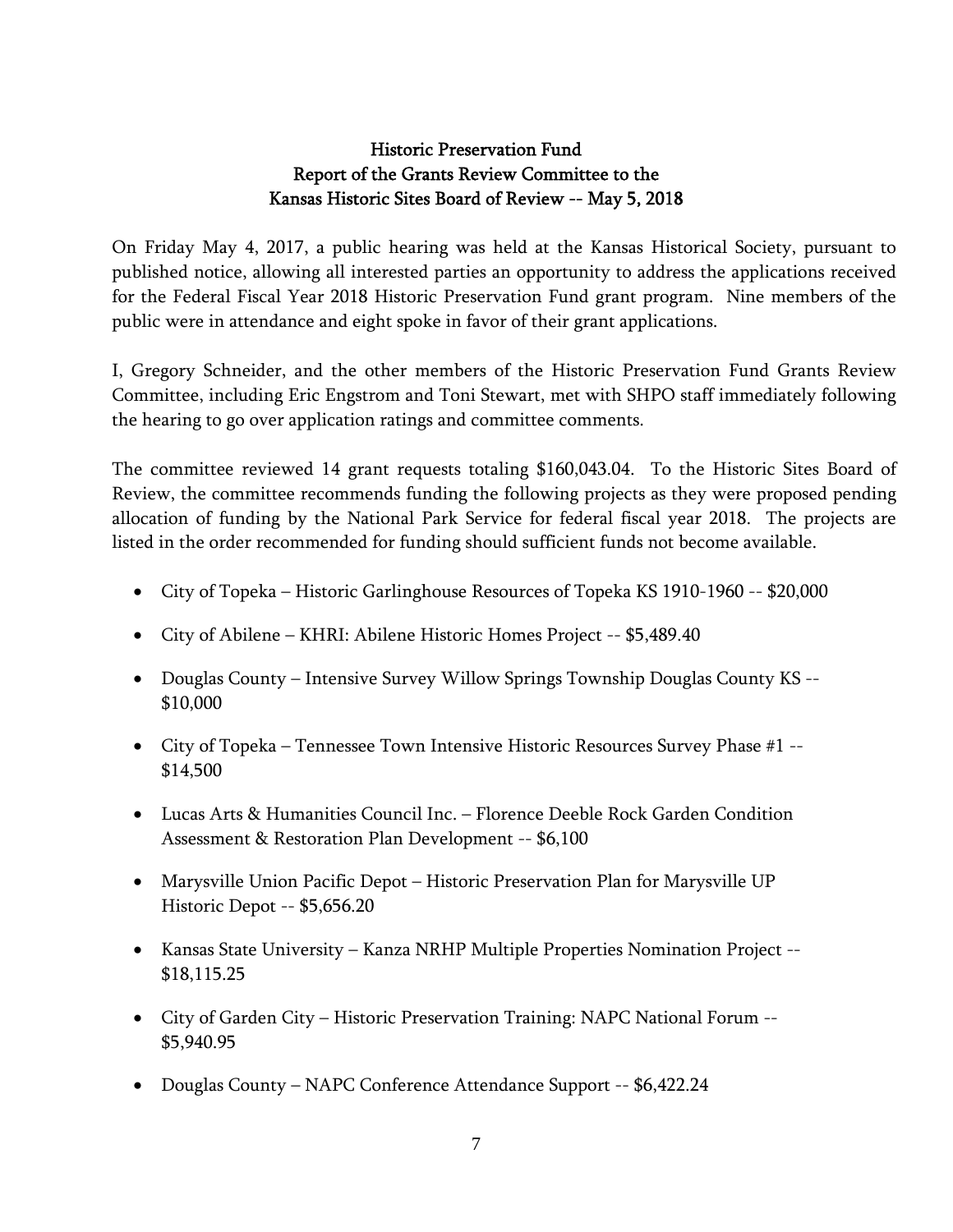# Historic Preservation Fund Report of the Grants Review Committee to the Kansas Historic Sites Board of Review -- May 5, 2018

On Friday May 4, 2017, a public hearing was held at the Kansas Historical Society, pursuant to published notice, allowing all interested parties an opportunity to address the applications received for the Federal Fiscal Year 2018 Historic Preservation Fund grant program. Nine members of the public were in attendance and eight spoke in favor of their grant applications.

I, Gregory Schneider, and the other members of the Historic Preservation Fund Grants Review Committee, including Eric Engstrom and Toni Stewart, met with SHPO staff immediately following the hearing to go over application ratings and committee comments.

The committee reviewed 14 grant requests totaling \$160,043.04. To the Historic Sites Board of Review, the committee recommends funding the following projects as they were proposed pending allocation of funding by the National Park Service for federal fiscal year 2018. The projects are listed in the order recommended for funding should sufficient funds not become available.

- City of Topeka Historic Garlinghouse Resources of Topeka KS 1910-1960 -- \$20,000
- City of Abilene KHRI: Abilene Historic Homes Project -- \$5,489.40
- Douglas County Intensive Survey Willow Springs Township Douglas County KS -- \$10,000
- City of Topeka Tennessee Town Intensive Historic Resources Survey Phase #1 -- \$14,500
- Lucas Arts & Humanities Council Inc. Florence Deeble Rock Garden Condition Assessment & Restoration Plan Development -- \$6,100
- Marysville Union Pacific Depot Historic Preservation Plan for Marysville UP Historic Depot -- \$5,656.20
- Kansas State University Kanza NRHP Multiple Properties Nomination Project -- \$18,115.25
- City of Garden City Historic Preservation Training: NAPC National Forum -- \$5,940.95
- Douglas County NAPC Conference Attendance Support -- \$6,422.24